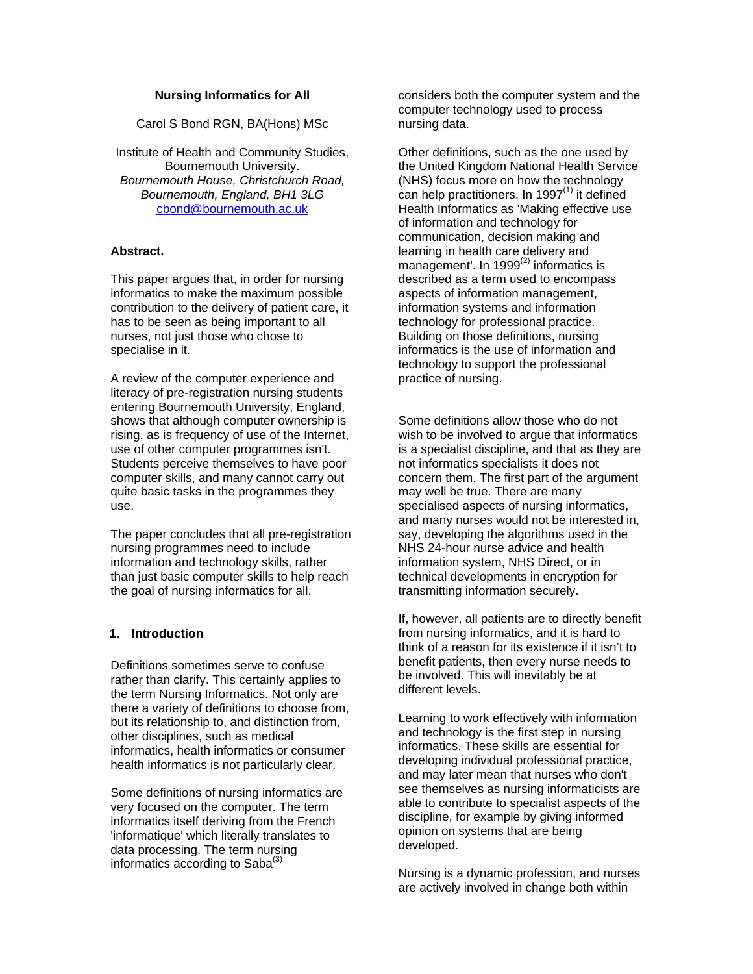#### **Nursing Informatics for All**

Carol S Bond RGN, BA(Hons) MSc

Institute of Health and Community Studies, Bournemouth University. *Bournemouth House, Christchurch Road, Bournemouth, England, BH1 3LG*  [cbond@bournemouth.ac.uk](mailto:cbond@bournemouth.ac.uk)

### **Abstract.**

This paper argues that, in order for nursing informatics to make the maximum possible contribution to the delivery of patient care, it has to be seen as being important to all nurses, not just those who chose to specialise in it.

A review of the computer experience and literacy of pre-registration nursing students entering Bournemouth University, England, shows that although computer ownership is rising, as is frequency of use of the Internet, use of other computer programmes isn't. Students perceive themselves to have poor computer skills, and many cannot carry out quite basic tasks in the programmes they use.

The paper concludes that all pre-registration nursing programmes need to include information and technology skills, rather than just basic computer skills to help reach the goal of nursing informatics for all.

#### **1. Introduction**

Definitions sometimes serve to confuse rather than clarify. This certainly applies to the term Nursing Informatics. Not only are there a variety of definitions to choose from, but its relationship to, and distinction from, other disciplines, such as medical informatics, health informatics or consumer health informatics is not particularly clear.

Some definitions of nursing informatics are very focused on the computer. The term informatics itself deriving from the French 'informatique' which literally translates to data processing. The term nursing informatics according to Saba $^{(3)}$ 

considers both the computer system and the computer technology used to process nursing data.

Other definitions, such as the one used by the United Kingdom National Health Service (NHS) focus more on how the technology can help practitioners. In 1997 $(1)$  it defined Health Informatics as 'Making effective use of information and technology for communication, decision making and learning in health care delivery and management'. In 1999 $^{(2)}$  informatics is described as a term used to encompass aspects of information management, information systems and information technology for professional practice. Building on those definitions, nursing informatics is the use of information and technology to support the professional practice of nursing.

Some definitions allow those who do not wish to be involved to arque that informatics is a specialist discipline, and that as they are not informatics specialists it does not concern them. The first part of the argument may well be true. There are many specialised aspects of nursing informatics, and many nurses would not be interested in, say, developing the algorithms used in the NHS 24-hour nurse advice and health information system, NHS Direct, or in technical developments in encryption for transmitting information securely.

If, however, all patients are to directly benefit from nursing informatics, and it is hard to think of a reason for its existence if it isn't to benefit patients, then every nurse needs to be involved. This will inevitably be at different levels.

Learning to work effectively with information and technology is the first step in nursing informatics. These skills are essential for developing individual professional practice, and may later mean that nurses who don't see themselves as nursing informaticists are able to contribute to specialist aspects of the discipline, for example by giving informed opinion on systems that are being developed.

Nursing is a dynamic profession, and nurses are actively involved in change both within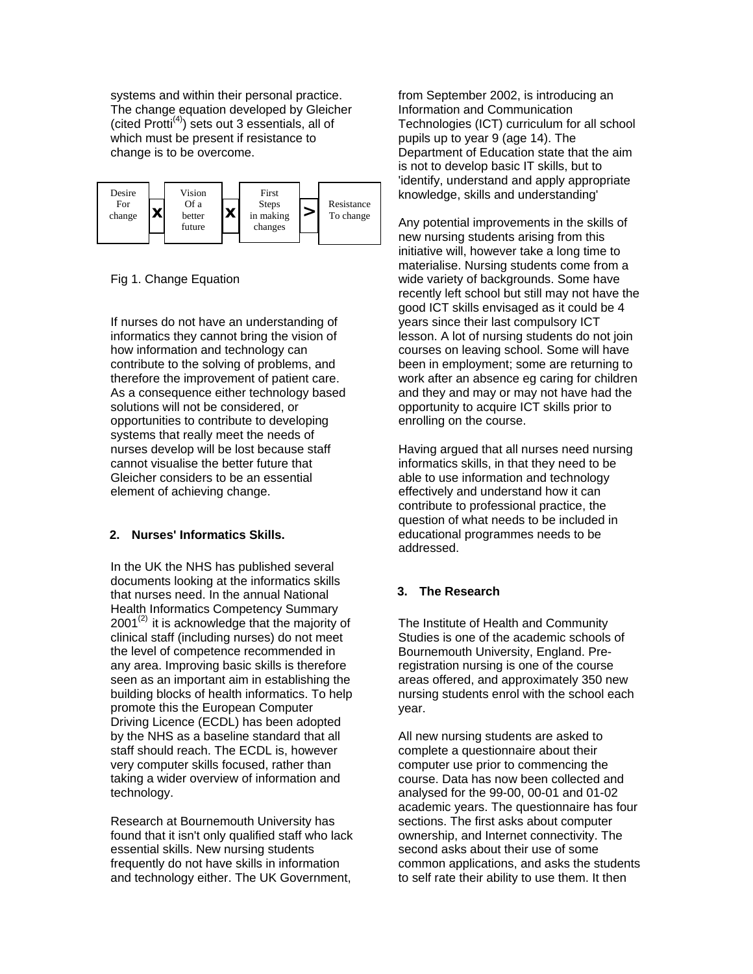systems and within their personal practice. The change equation developed by Gleicher  $(\text{cited Proti}^{(4)})$  sets out 3 essentials, all of which must be present if resistance to change is to be overcome.



## Fig 1. Change Equation

If nurses do not have an understanding of informatics they cannot bring the vision of how information and technology can contribute to the solving of problems, and therefore the improvement of patient care. As a consequence either technology based solutions will not be considered, or opportunities to contribute to developing systems that really meet the needs of nurses develop will be lost because staff cannot visualise the better future that Gleicher considers to be an essential element of achieving change.

## **2. Nurses' Informatics Skills.**

In the UK the NHS has published several documents looking at the informatics skills that nurses need. In the annual National Health Informatics Competency Summary  $2001<sup>(2)</sup>$  it is acknowledge that the majority of clinical staff (including nurses) do not meet the level of competence recommended in any area. Improving basic skills is therefore seen as an important aim in establishing the building blocks of health informatics. To help promote this the European Computer Driving Licence (ECDL) has been adopted by the NHS as a baseline standard that all staff should reach. The ECDL is, however very computer skills focused, rather than taking a wider overview of information and technology.

Research at Bournemouth University has found that it isn't only qualified staff who lack essential skills. New nursing students frequently do not have skills in information and technology either. The UK Government,

from September 2002, is introducing an Information and Communication Technologies (ICT) curriculum for all school pupils up to year 9 (age 14). The Department of Education state that the aim is not to develop basic IT skills, but to 'identify, understand and apply appropriate

Any potential improvements in the skills of new nursing students arising from this initiative will, however take a long time to materialise. Nursing students come from a wide variety of backgrounds. Some have recently left school but still may not have the good ICT skills envisaged as it could be 4 years since their last compulsory ICT lesson. A lot of nursing students do not join courses on leaving school. Some will have been in employment; some are returning to work after an absence eg caring for children and they and may or may not have had the opportunity to acquire ICT skills prior to enrolling on the course.

Having argued that all nurses need nursing informatics skills, in that they need to be able to use information and technology effectively and understand how it can contribute to professional practice, the question of what needs to be included in educational programmes needs to be addressed.

# **3. The Research**

The Institute of Health and Community Studies is one of the academic schools of Bournemouth University, England. Preregistration nursing is one of the course areas offered, and approximately 350 new nursing students enrol with the school each year.

All new nursing students are asked to complete a questionnaire about their computer use prior to commencing the course. Data has now been collected and analysed for the 99-00, 00-01 and 01-02 academic years. The questionnaire has four sections. The first asks about computer ownership, and Internet connectivity. The second asks about their use of some common applications, and asks the students to self rate their ability to use them. It then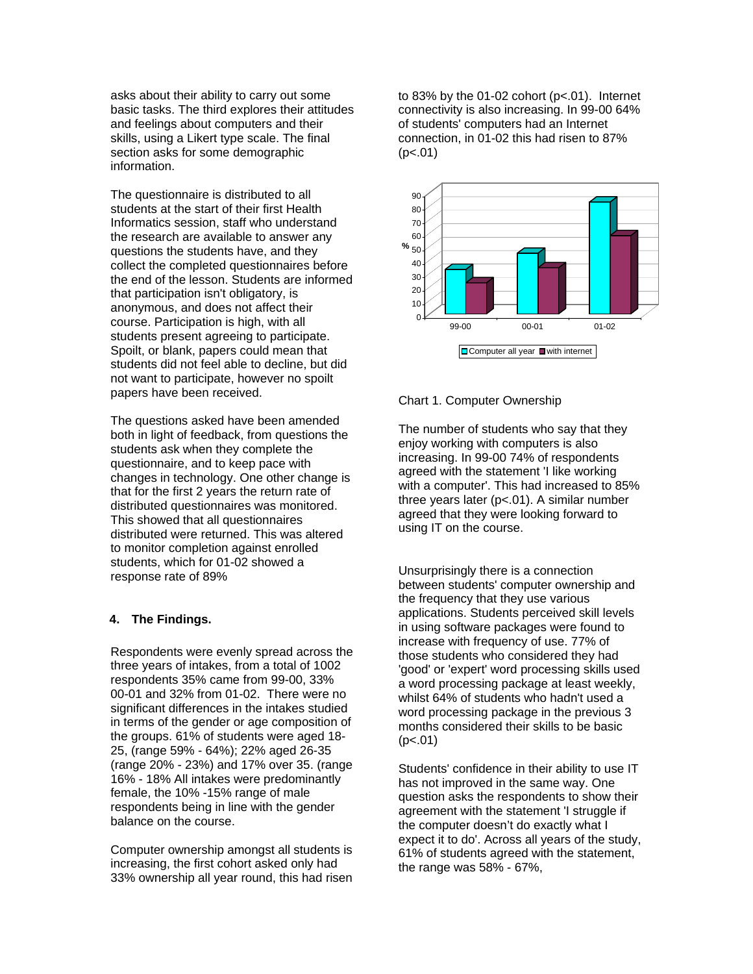asks about their ability to carry out some basic tasks. The third explores their attitudes and feelings about computers and their skills, using a Likert type scale. The final section asks for some demographic information.

The questionnaire is distributed to all students at the start of their first Health Informatics session, staff who understand the research are available to answer any questions the students have, and they collect the completed questionnaires before the end of the lesson. Students are informed that participation isn't obligatory, is anonymous, and does not affect their course. Participation is high, with all students present agreeing to participate. Spoilt, or blank, papers could mean that students did not feel able to decline, but did not want to participate, however no spoilt papers have been received.

The questions asked have been amended both in light of feedback, from questions the students ask when they complete the questionnaire, and to keep pace with changes in technology. One other change is that for the first 2 years the return rate of distributed questionnaires was monitored. This showed that all questionnaires distributed were returned. This was altered to monitor completion against enrolled students, which for 01-02 showed a response rate of 89%

### **4. The Findings.**

Respondents were evenly spread across the three years of intakes, from a total of 1002 respondents 35% came from 99-00, 33% 00-01 and 32% from 01-02. There were no significant differences in the intakes studied in terms of the gender or age composition of the groups. 61% of students were aged 18- 25, (range 59% - 64%); 22% aged 26-35 (range 20% - 23%) and 17% over 35. (range 16% - 18% All intakes were predominantly female, the 10% -15% range of male respondents being in line with the gender balance on the course.

Computer ownership amongst all students is increasing, the first cohort asked only had 33% ownership all year round, this had risen to 83% by the 01-02 cohort (p<.01). Internet connectivity is also increasing. In 99-00 64% of students' computers had an Internet connection, in 01-02 this had risen to 87%  $(p<.01)$ 



#### Chart 1. Computer Ownership

The number of students who say that they enjoy working with computers is also increasing. In 99-00 74% of respondents agreed with the statement 'I like working with a computer'. This had increased to 85% three years later (p<.01). A similar number agreed that they were looking forward to using IT on the course.

Unsurprisingly there is a connection between students' computer ownership and the frequency that they use various applications. Students perceived skill levels in using software packages were found to increase with frequency of use. 77% of those students who considered they had 'good' or 'expert' word processing skills used a word processing package at least weekly, whilst 64% of students who hadn't used a word processing package in the previous 3 months considered their skills to be basic  $(p<.01)$ 

Students' confidence in their ability to use IT has not improved in the same way. One question asks the respondents to show their agreement with the statement 'I struggle if the computer doesn't do exactly what I expect it to do'. Across all years of the study, 61% of students agreed with the statement, the range was 58% - 67%,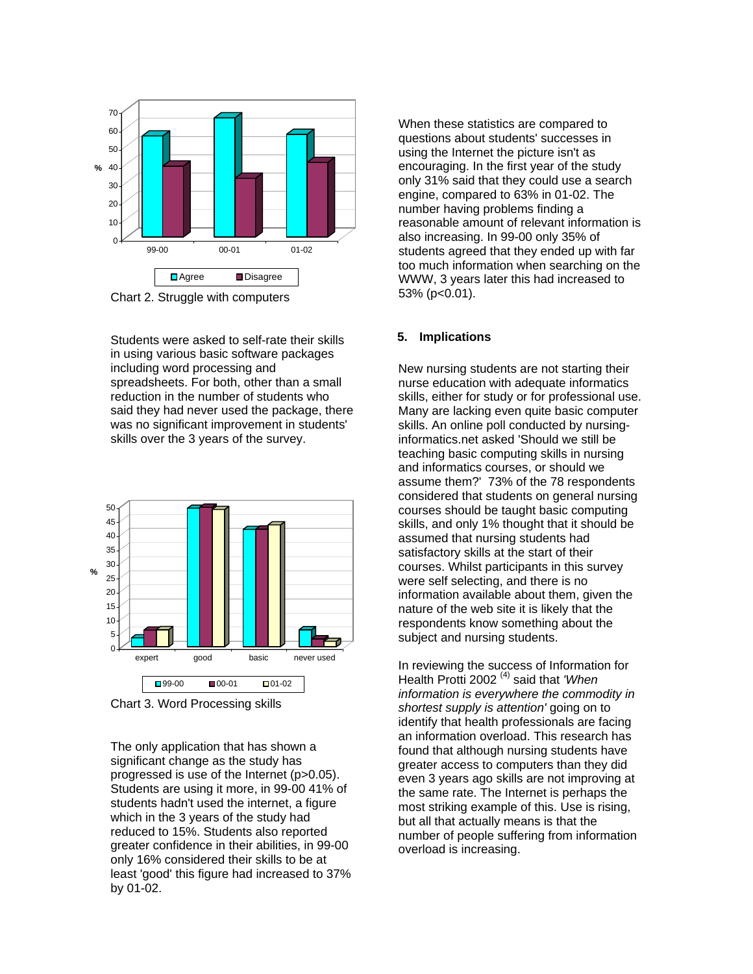

Chart 2. Struggle with computers

Students were asked to self-rate their skills in using various basic software packages including word processing and spreadsheets. For both, other than a small reduction in the number of students who said they had never used the package, there was no significant improvement in students' skills over the 3 years of the survey.



Chart 3. Word Processing skills

The only application that has shown a significant change as the study has progressed is use of the Internet (p>0.05). Students are using it more, in 99-00 41% of students hadn't used the internet, a figure which in the 3 years of the study had reduced to 15%. Students also reported greater confidence in their abilities, in 99-00 only 16% considered their skills to be at least 'good' this figure had increased to 37% by 01-02.

When these statistics are compared to questions about students' successes in using the Internet the picture isn't as encouraging. In the first year of the study only 31% said that they could use a search engine, compared to 63% in 01-02. The number having problems finding a reasonable amount of relevant information is also increasing. In 99-00 only 35% of students agreed that they ended up with far too much information when searching on the WWW, 3 years later this had increased to 53% (p<0.01).

### **5. Implications**

New nursing students are not starting their nurse education with adequate informatics skills, either for study or for professional use. Many are lacking even quite basic computer skills. An online poll conducted by nursinginformatics.net asked 'Should we still be teaching basic computing skills in nursing and informatics courses, or should we assume them?' 73% of the 78 respondents considered that students on general nursing courses should be taught basic computing skills, and only 1% thought that it should be assumed that nursing students had satisfactory skills at the start of their courses. Whilst participants in this survey were self selecting, and there is no information available about them, given the nature of the web site it is likely that the respondents know something about the subject and nursing students.

In reviewing the success of Information for Health Protti 2002 (4) said that *'When information is everywhere the commodity in shortest supply is attention'* going on to identify that health professionals are facing an information overload. This research has found that although nursing students have greater access to computers than they did even 3 years ago skills are not improving at the same rate. The Internet is perhaps the most striking example of this. Use is rising, but all that actually means is that the number of people suffering from information overload is increasing.